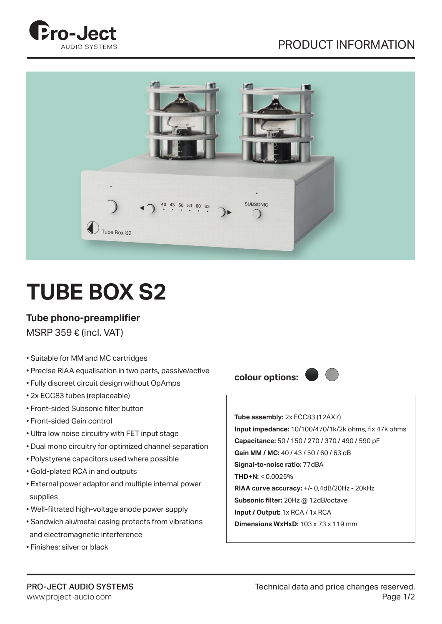## PRODUCT INFORMATION





## **TUBE BOX S2**

## **Tube phono-preamplifier**

MSRP 359  $\epsilon$  (incl. VAT)

- Suitable for MM and MC cartridges
- Precise RIAA equalisation in two parts, passive/active
- Fully discreet circuit design without OpAmps
- 2x ECC83 tubes (replaceable)
- Front-sided Subsonic filter button
- Front-sided Gain control
- Ultra low noise circuitry with FET input stage
- Dual mono circuitry for optimized channel separation
- Polystyrene capacitors used where possible
- Gold-plated RCA in and outputs
- External power adaptor and multiple internal power supplies
- Well-filtrated high-voltage anode power supply
- Sandwich alu/metal casing protects from vibrations and electromagnetic interference
- Finishes: silver or black



**Tube assembly:** 2x ECC83 (12AX7) **Input impedance:** 10/100/470/1k/2k ohms, fix 47k ohms **Capacitance:** 50 / 150 / 270 / 370 / 490 / 590 pF **Gain MM / MC:** 40 / 43 / 50 / 60 / 63 dB **Signal-to-noise ratio:** 77dBA **THD+N:** < 0,0025% **RIAA curve accuracy:** +/- 0,4dB/20Hz - 20kHz **Subsonic filter:** 20Hz @ 12dB/octave **Input / Output:** 1x RCA / 1x RCA **Dimensions WxHxD:** 103 x 73 x 119 mm